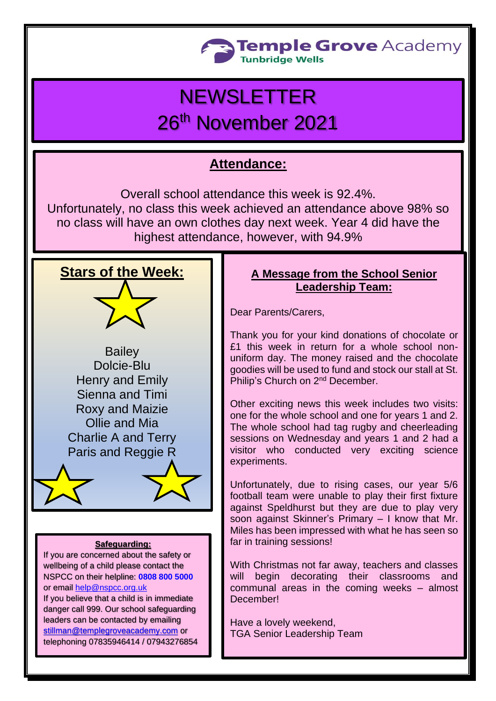

# **NEWSLETTER** 26th November 2021

## **Attendance:**

Overall school attendance this week is 92.4%. Unfortunately, no class this week achieved an attendance above 98% so no class will have an own clothes day next week. Year 4 did have the highest attendance, however, with 94.9%



**Bailey** Dolcie-Blu Henry and Emily Sienna and Timi Roxy and Maizie Ollie and Mia Charlie A and Terry Paris and Reggie R

#### **Safeguarding:**

If you are concerned about the safety or wellbeing of a child please contact the NSPCC on their helpline: **[0808 800 5000](tel:08088005000)** or email [help@nspcc.org.uk](mailto:help@nspcc.org.uk)

If you believe that a child is in immediate danger call 999. Our school safeguarding leaders can be contacted by emailing [stillman@templegroveacademy.com](mailto:stillman@templegroveacademy.com) or telephoning 07835946414 / 07943276854

## **A Message from the School Senior Leadership Team:**

Dear Parents/Carers,

Thank you for your kind donations of chocolate or £1 this week in return for a whole school nonuniform day. The money raised and the chocolate goodies will be used to fund and stock our stall at St. Philip's Church on 2nd December.

Other exciting news this week includes two visits: one for the whole school and one for years 1 and 2. The whole school had tag rugby and cheerleading sessions on Wednesday and years 1 and 2 had a visitor who conducted very exciting science experiments.

Unfortunately, due to rising cases, our year 5/6 football team were unable to play their first fixture against Speldhurst but they are due to play very soon against Skinner's Primary – I know that Mr. Miles has been impressed with what he has seen so far in training sessions!

With Christmas not far away, teachers and classes will begin decorating their classrooms and communal areas in the coming weeks – almost December!

Have a lovely weekend, TGA Senior Leadership Team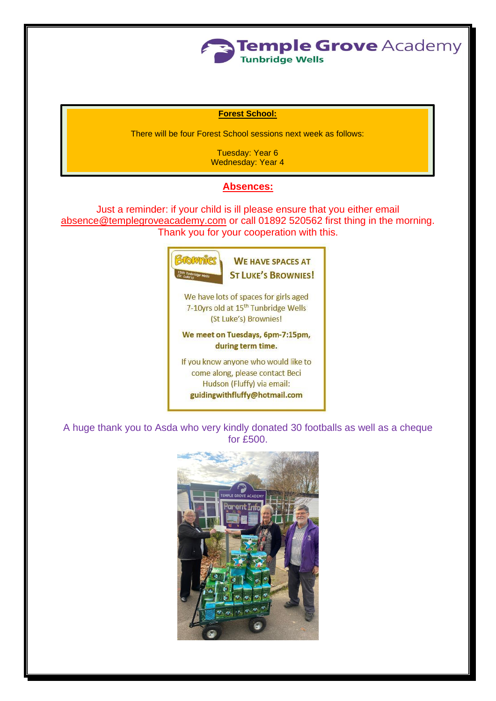

#### **Forest School:**

There will be four Forest School sessions next week as follows:

Tuesday: Year 6 Wednesday: Year 4

#### **Absences:**

Just a reminder: if your child is ill please ensure that you either email [absence@templegroveacademy.com](mailto:absence@templegroveacademy.com) or call 01892 520562 first thing in the morning. Thank you for your cooperation with this.



A huge thank you to Asda who very kindly donated 30 footballs as well as a cheque for £500.

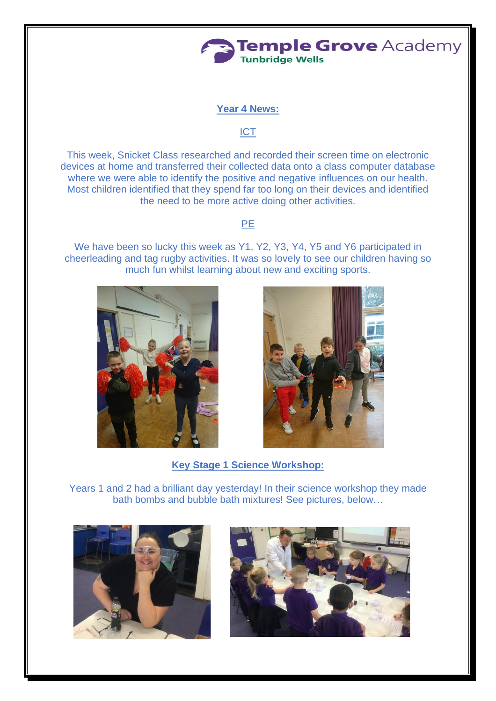

#### **Year 4 News:**

#### ICT

This week, Snicket Class researched and recorded their screen time on electronic devices at home and transferred their collected data onto a class computer database where we were able to identify the positive and negative influences on our health. Most children identified that they spend far too long on their devices and identified the need to be more active doing other activities.

## PE

We have been so lucky this week as Y1, Y2, Y3, Y4, Y5 and Y6 participated in cheerleading and tag rugby activities. It was so lovely to see our children having so much fun whilst learning about new and exciting sports.





**Key Stage 1 Science Workshop:**

Years 1 and 2 had a brilliant day yesterday! In their science workshop they made bath bombs and bubble bath mixtures! See pictures, below…



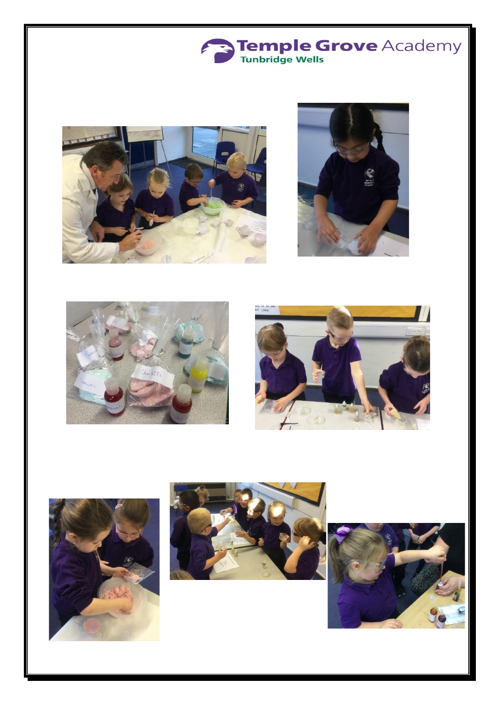